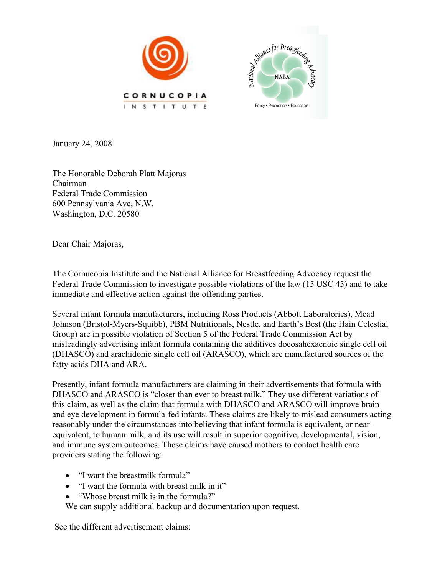



January 24, 2008

The Honorable Deborah Platt Majoras Chairman Federal Trade Commission 600 Pennsylvania Ave, N.W. Washington, D.C. 20580

Dear Chair Majoras,

The Cornucopia Institute and the National Alliance for Breastfeeding Advocacy request the Federal Trade Commission to investigate possible violations of the law (15 USC 45) and to take immediate and effective action against the offending parties.

Several infant formula manufacturers, including Ross Products (Abbott Laboratories), Mead Johnson (Bristol-Myers-Squibb), PBM Nutritionals, Nestle, and Earth's Best (the Hain Celestial Group) are in possible violation of Section 5 of the Federal Trade Commission Act by misleadingly advertising infant formula containing the additives docosahexaenoic single cell oil (DHASCO) and arachidonic single cell oil (ARASCO), which are manufactured sources of the fatty acids DHA and ARA.

Presently, infant formula manufacturers are claiming in their advertisements that formula with DHASCO and ARASCO is "closer than ever to breast milk." They use different variations of this claim, as well as the claim that formula with DHASCO and ARASCO will improve brain and eye development in formula-fed infants. These claims are likely to mislead consumers acting reasonably under the circumstances into believing that infant formula is equivalent, or nearequivalent, to human milk, and its use will result in superior cognitive, developmental, vision, and immune system outcomes. These claims have caused mothers to contact health care providers stating the following:

- "I want the breastmilk formula"
- "I want the formula with breast milk in it"
- "Whose breast milk is in the formula?"

We can supply additional backup and documentation upon request.

See the different advertisement claims: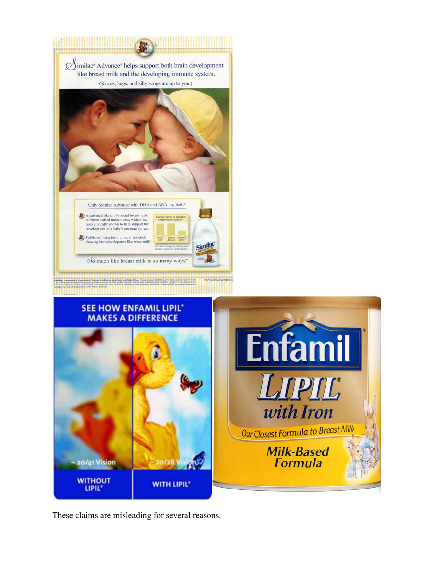

These claims are misleading for several reasons.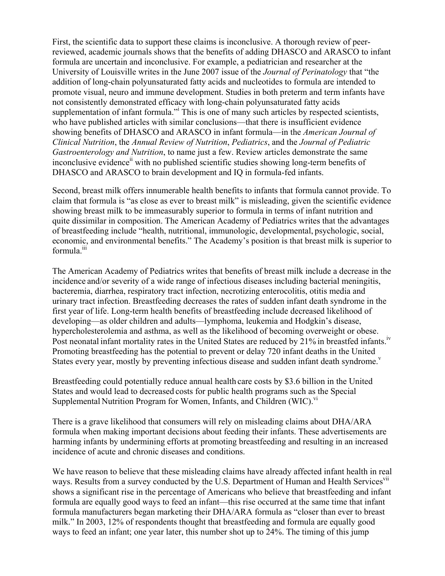First, the scientific data to support these claims is inconclusive. A thorough review of peerreviewed, academic journals shows that the benefits of adding DHASCO and ARASCO to infant formula are uncertain and inconclusive. For example, a pediatrician and researcher at the University of Louisville writes in the June 2007 issue of the *Journal of Perinatology* that "the addition of long-chain polyunsaturated fatty acids and nucleotides to formula are intended to promote visual, neuro and immune development. Studies in both preterm and term infants have not consistently demonstrated efficacy with long-chain polyunsaturated fatty acids supplementation of infant formula." This is one of many such articles by respected scientists, who have published articles with similar conclusions—that there is insufficient evidence showing benefits of DHASCO and ARASCO in infant formula—in the *American Journal of Clinical Nutrition*, the *Annual Review of Nutrition*, *Pediatrics*, and the *Journal of Pediatric Gastroenterology and Nutrition*, to name just a few. Review articles demonstrate the same inconclusive evidence<sup>ii</sup> with no published scientific studies showing long-term benefits of DHASCO and ARASCO to brain development and IQ in formula-fed infants.

Second, breast milk offers innumerable health benefits to infants that formula cannot provide. To claim that formula is "as close as ever to breast milk" is misleading, given the scientific evidence showing breast milk to be immeasurably superior to formula in terms of infant nutrition and quite dissimilar in composition. The American Academy of Pediatrics writes that the advantages of breastfeeding include "health, nutritional, immunologic, developmental, psychologic, social, economic, and environmental benefits." The Academy's position is that breast milk is superior to formula.<sup>iii</sup>

The American Academy of Pediatrics writes that benefits of breast milk include a decrease in the incidence and/or severity of a wide range of infectious diseases including bacterial meningitis, bacteremia, diarrhea, respiratory tract infection, necrotizing enterocolitis, otitis media and urinary tract infection. Breastfeeding decreases the rates of sudden infant death syndrome in the first year of life. Long-term health benefits of breastfeeding include decreased likelihood of developing—as older children and adults—lymphoma, leukemia and Hodgkin's disease, hypercholesterolemia and asthma, as well as the likelihood of becoming overweight or obese. Post neonatal infant mortality rates in the United States are reduced by 21% in breastfed infants.<sup>iv</sup> Promoting breastfeeding has the potential to prevent or delay 720 infant deaths in the United States every year, mostly by preventing infectious disease and sudden infant death syndrome.<sup>v</sup>

Breastfeeding could potentially reduce annual health care costs by \$3.6 billion in the United States and would lead to decreased costs for public health programs such as the Special Supplemental Nutrition Program for Women, Infants, and Children (WIC).<sup>vi</sup>

There is a grave likelihood that consumers will rely on misleading claims about DHA/ARA formula when making important decisions about feeding their infants. These advertisements are harming infants by undermining efforts at promoting breastfeeding and resulting in an increased incidence of acute and chronic diseases and conditions.

We have reason to believe that these misleading claims have already affected infant health in real ways. Results from a survey conducted by the U.S. Department of Human and Health Services<sup>vii</sup> shows a significant rise in the percentage of Americans who believe that breastfeeding and infant formula are equally good ways to feed an infant—this rise occurred at the same time that infant formula manufacturers began marketing their DHA/ARA formula as "closer than ever to breast milk." In 2003, 12% of respondents thought that breastfeeding and formula are equally good ways to feed an infant; one year later, this number shot up to 24%. The timing of this jump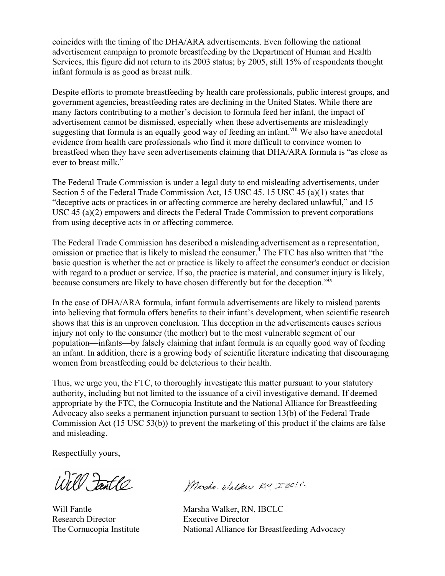coincides with the timing of the DHA/ARA advertisements. Even following the national advertisement campaign to promote breastfeeding by the Department of Human and Health Services, this figure did not return to its 2003 status; by 2005, still 15% of respondents thought infant formula is as good as breast milk.

Despite efforts to promote breastfeeding by health care professionals, public interest groups, and government agencies, breastfeeding rates are declining in the United States. While there are many factors contributing to a mother's decision to formula feed her infant, the impact of advertisement cannot be dismissed, especially when these advertisements are misleadingly suggesting that formula is an equally good way of feeding an infant.<sup>viii</sup> We also have anecdotal evidence from health care professionals who find it more difficult to convince women to breastfeed when they have seen advertisements claiming that DHA/ARA formula is "as close as ever to breast milk."

The Federal Trade Commission is under a legal duty to end misleading advertisements, under Section 5 of the Federal Trade Commission Act, 15 USC 45. 15 USC 45 (a)(1) states that "deceptive acts or practices in or affecting commerce are hereby declared unlawful," and 15 USC 45 (a)(2) empowers and directs the Federal Trade Commission to prevent corporations from using deceptive acts in or affecting commerce.

The Federal Trade Commission has described a misleading advertisement as a representation, omission or practice that is likely to mislead the consumer.<sup>4</sup> The FTC has also written that "the basic question is whether the act or practice is likely to affect the consumer's conduct or decision with regard to a product or service. If so, the practice is material, and consumer injury is likely, because consumers are likely to have chosen differently but for the deception."ix

In the case of DHA/ARA formula, infant formula advertisements are likely to mislead parents into believing that formula offers benefits to their infant's development, when scientific research shows that this is an unproven conclusion. This deception in the advertisements causes serious injury not only to the consumer (the mother) but to the most vulnerable segment of our population—infants—by falsely claiming that infant formula is an equally good way of feeding an infant. In addition, there is a growing body of scientific literature indicating that discouraging women from breastfeeding could be deleterious to their health.

Thus, we urge you, the FTC, to thoroughly investigate this matter pursuant to your statutory authority, including but not limited to the issuance of a civil investigative demand. If deemed appropriate by the FTC, the Cornucopia Institute and the National Alliance for Breastfeeding Advocacy also seeks a permanent injunction pursuant to section 13(b) of the Federal Trade Commission Act (15 USC 53(b)) to prevent the marketing of this product if the claims are false and misleading.

Respectfully yours,

Will Fantle

Research Director Executive Director

Marsha Wilker RN IBCLC

Will Fantle Marsha Walker, RN, IBCLC The Cornucopia Institute National Alliance for Breastfeeding Advocacy